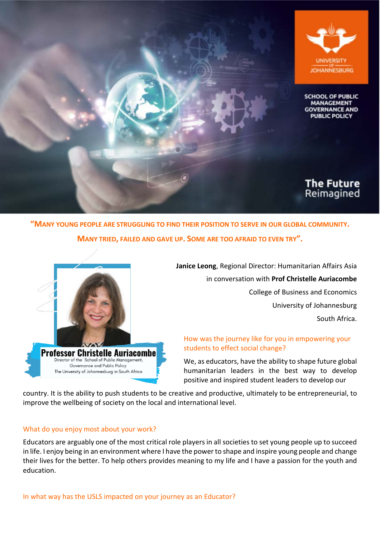

**"MANY YOUNG PEOPLE ARE STRUGGLING TO FIND THEIR POSITION TO SERVE IN OUR GLOBAL COMMUNITY. MANY TRIED, FAILED AND GAVE UP. SOME ARE TOO AFRAID TO EVEN TRY".**



**Janice Leong**, Regional Director: Humanitarian Affairs Asia in conversation with **Prof Christelle Auriacombe** College of Business and Economics University of Johannesburg South Africa.

## How was the journey like for you in empowering your students to effect social change?

We, as educators, have the ability to shape future global humanitarian leaders in the best way to develop positive and inspired student leaders to develop our

country. It is the ability to push students to be creative and productive, ultimately to be entrepreneurial, to improve the wellbeing of society on the local and international level.

## What do you enjoy most about your work?

Educators are arguably one of the most critical role players in all societies to set young people up to succeed in life. I enjoy being in an environment where I have the power to shape and inspire young people and change their lives for the better. To help others provides meaning to my life and I have a passion for the youth and education.